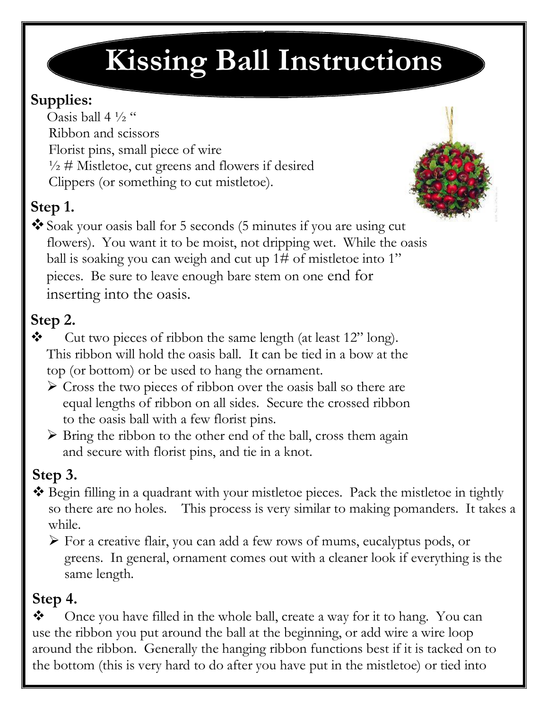# **Kissing Ball Instructions**

#### **Supplies:**

Oasis ball 4  $\frac{1}{2}$ " Ribbon and scissors Florist pins, small piece of wire  $\frac{1}{2}$  # Mistletoe, cut greens and flowers if desired Clippers (or something to cut mistletoe).

# **Step 1.**



Soak your oasis ball for 5 seconds (5 minutes if you are using cut flowers). You want it to be moist, not dripping wet. While the oasis ball is soaking you can weigh and cut up 1# of mistletoe into 1" pieces. Be sure to leave enough bare stem on one end for inserting into the oasis.

### **Step 2.**

- $\mathbf{\hat{P}}$  Cut two pieces of ribbon the same length (at least 12" long). This ribbon will hold the oasis ball. It can be tied in a bow at the top (or bottom) or be used to hang the ornament.
	- $\triangleright$  Cross the two pieces of ribbon over the oasis ball so there are equal lengths of ribbon on all sides. Secure the crossed ribbon to the oasis ball with a few florist pins.
	- $\triangleright$  Bring the ribbon to the other end of the ball, cross them again and secure with florist pins, and tie in a knot.

## **Step 3.**

- \* Begin filling in a quadrant with your mistletoe pieces. Pack the mistletoe in tightly so there are no holes. This process is very similar to making pomanders. It takes a while.
	- $\triangleright$  For a creative flair, you can add a few rows of mums, eucalyptus pods, or greens. In general, ornament comes out with a cleaner look if everything is the same length.

#### **Step 4.**

 $\bullet$  Once you have filled in the whole ball, create a way for it to hang. You can use the ribbon you put around the ball at the beginning, or add wire a wire loop around the ribbon. Generally the hanging ribbon functions best if it is tacked on to the bottom (this is very hard to do after you have put in the mistletoe) or tied into